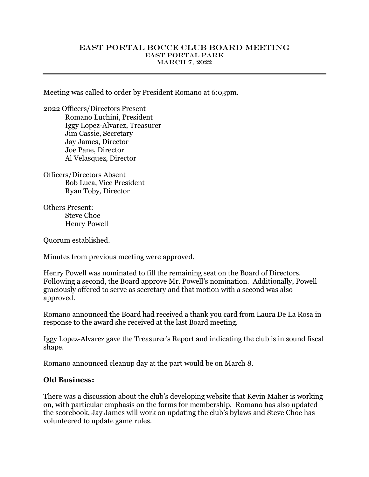## EAST PORTAL BOCCE CLUB BOARD MEETING EAST PORTAL PARK MARCH 7, 2022

Meeting was called to order by President Romano at 6:03pm.

2022 Officers/Directors Present Romano Luchini, President Iggy Lopez-Alvarez, Treasurer Jim Cassie, Secretary Jay James, Director Joe Pane, Director Al Velasquez, Director

Officers/Directors Absent Bob Luca, Vice President Ryan Toby, Director

Others Present: Steve Choe Henry Powell

Quorum established.

Minutes from previous meeting were approved.

Henry Powell was nominated to fill the remaining seat on the Board of Directors. Following a second, the Board approve Mr. Powell's nomination. Additionally, Powell graciously offered to serve as secretary and that motion with a second was also approved.

Romano announced the Board had received a thank you card from Laura De La Rosa in response to the award she received at the last Board meeting.

Iggy Lopez-Alvarez gave the Treasurer's Report and indicating the club is in sound fiscal shape.

Romano announced cleanup day at the part would be on March 8.

## **Old Business:**

There was a discussion about the club's developing website that Kevin Maher is working on, with particular emphasis on the forms for membership. Romano has also updated the scorebook, Jay James will work on updating the club's bylaws and Steve Choe has volunteered to update game rules.